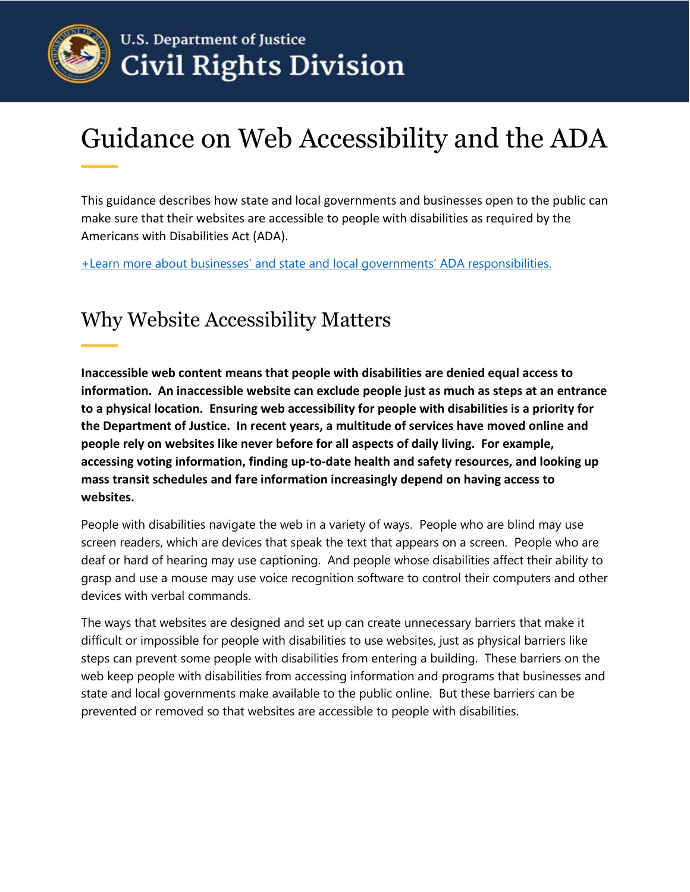

# Guidance on Web Accessibility and the ADA

This guidance describes how state and local governments and businesses open to the public can make sure that their websites are accessible to people with disabilities as required by the Americans with Disabilities Act (ADA).

+Learn more [about businesses' and state and local governments' ADA responsibilities.](https://beta.ada.gov/topics/intro-to-ada/#the-ada-prohibits-disability-discrimination-in-many-areas-of-life) 

# Why Website Accessibility Matters

**Inaccessible web content means that people with disabilities are denied equal access to information. An inaccessible website can exclude people just as much as steps at an entrance to a physical location. Ensuring web accessibility for people with disabilities is a priority for the Department of Justice. In recent years, a multitude of services have moved online and people rely on websites like never before for all aspects of daily living. For example, accessing voting information, finding up-to-date health and safety resources, and looking up mass transit schedules and fare information increasingly depend on having access to websites.**

People with disabilities navigate the web in a variety of ways. People who are blind may use screen readers, which are devices that speak the text that appears on a screen. People who are deaf or hard of hearing may use captioning. And people whose disabilities affect their ability to grasp and use a mouse may use voice recognition software to control their computers and other devices with verbal commands.

The ways that websites are designed and set up can create unnecessary barriers that make it difficult or impossible for people with disabilities to use websites, just as physical barriers like steps can prevent some people with disabilities from entering a building. These barriers on the web keep people with disabilities from accessing information and programs that businesses and state and local governments make available to the public online. But these barriers can be prevented or removed so that websites are accessible to people with disabilities.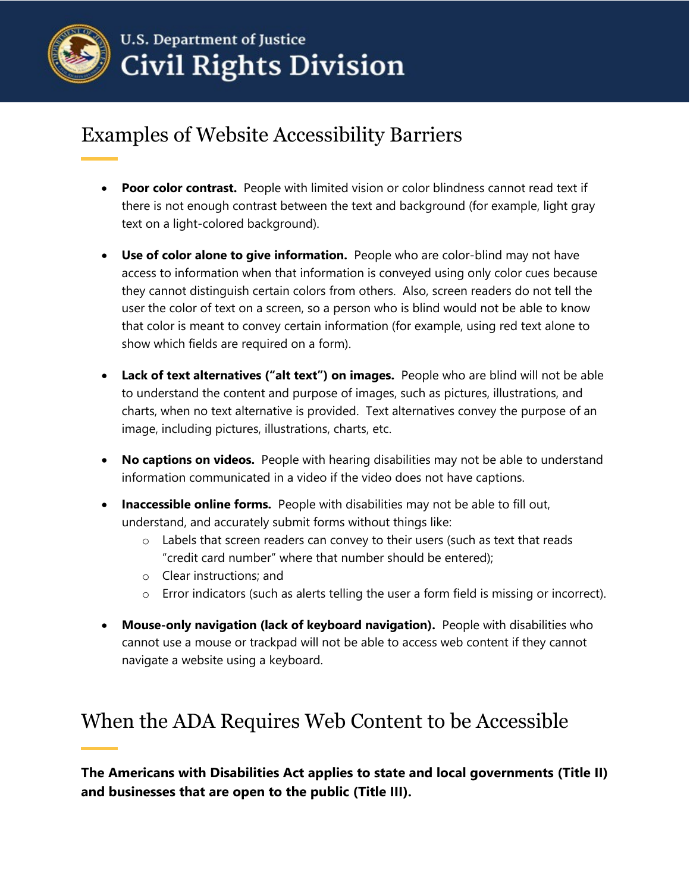

# Examples of Website Accessibility Barriers

- **Poor color contrast.** People with limited vision or color blindness cannot read text if there is not enough contrast between the text and background (for example, light gray text on a light-colored background).
- **Use of color alone to give information.** People who are color-blind may not have access to information when that information is conveyed using only color cues because they cannot distinguish certain colors from others. Also, screen readers do not tell the user the color of text on a screen, so a person who is blind would not be able to know that color is meant to convey certain information (for example, using red text alone to show which fields are required on a form).
- **Lack of text alternatives ("alt text") on images.** People who are blind will not be able to understand the content and purpose of images, such as pictures, illustrations, and charts, when no text alternative is provided. Text alternatives convey the purpose of an image, including pictures, illustrations, charts, etc.
- **No captions on videos.** People with hearing disabilities may not be able to understand information communicated in a video if the video does not have captions.
- **Inaccessible online forms.** People with disabilities may not be able to fill out, understand, and accurately submit forms without things like:
	- $\circ$  Labels that screen readers can convey to their users (such as text that reads "credit card number" where that number should be entered);
	- o Clear instructions; and
	- o Error indicators (such as alerts telling the user a form field is missing or incorrect).
- **Mouse-only navigation (lack of keyboard navigation).** People with disabilities who cannot use a mouse or trackpad will not be able to access web content if they cannot navigate a website using a keyboard.

# When the ADA Requires Web Content to be Accessible

**The Americans with Disabilities Act applies to state and local governments (Title II) and businesses that are open to the public (Title III).**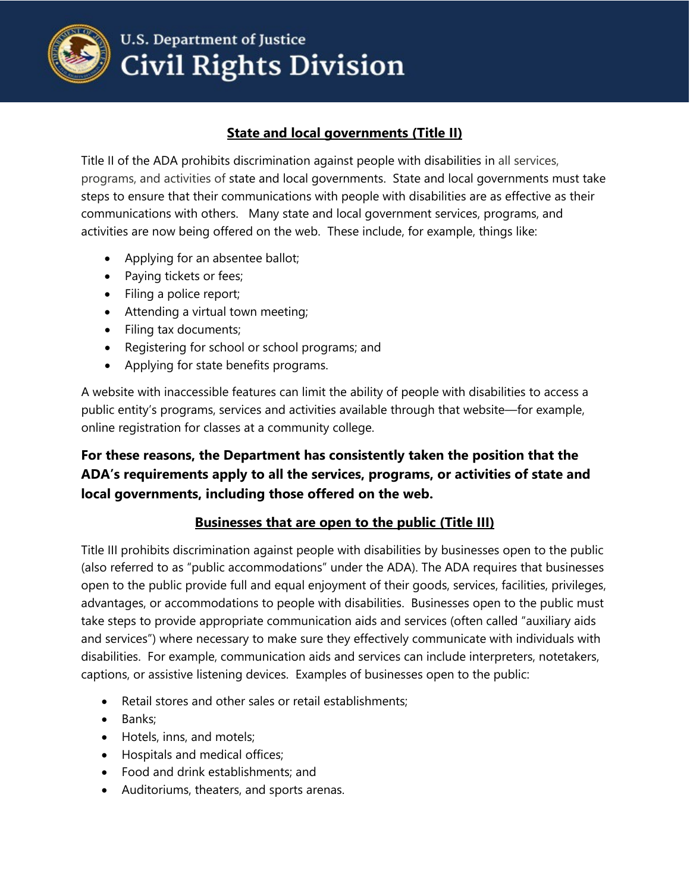

# **U.S. Department of Justice Civil Rights Division**

### **State and local governments (Title II)**

Title II of the ADA prohibits discrimination against people with disabilities in all services, programs, and activities of state and local governments. State and local governments must take steps to ensure that their communications with people with disabilities are as effective as their communications with others. Many state and local government services, programs, and activities are now being offered on the web. These include, for example, things like:

- Applying for an absentee ballot;
- Paying tickets or fees;
- Filing a police report;
- Attending a virtual town meeting;
- Filing tax documents;
- Registering for school or school programs; and
- Applying for state benefits programs.

A website with inaccessible features can limit the ability of people with disabilities to access a public entity's programs, services and activities available through that website—for example, online registration for classes at a community college.

### **For these reasons, the Department has consistently taken the position that the ADA's requirements apply to all the services, programs, or activities of state and local governments, including those offered on the web.**

### **Businesses that are open to the public (Title III)**

Title III prohibits discrimination against people with disabilities by businesses open to the public (also referred to as "public accommodations" under the ADA). The ADA requires that businesses open to the public provide full and equal enjoyment of their goods, services, facilities, privileges, advantages, or accommodations to people with disabilities. Businesses open to the public must take steps to provide appropriate communication aids and services (often called "auxiliary aids and services") where necessary to make sure they effectively communicate with individuals with disabilities. For example, communication aids and services can include interpreters, notetakers, captions, or assistive listening devices. Examples of businesses open to the public:

- Retail stores and other sales or retail establishments;
- Banks;
- Hotels, inns, and motels;
- Hospitals and medical offices;
- Food and drink establishments; and
- Auditoriums, theaters, and sports arenas.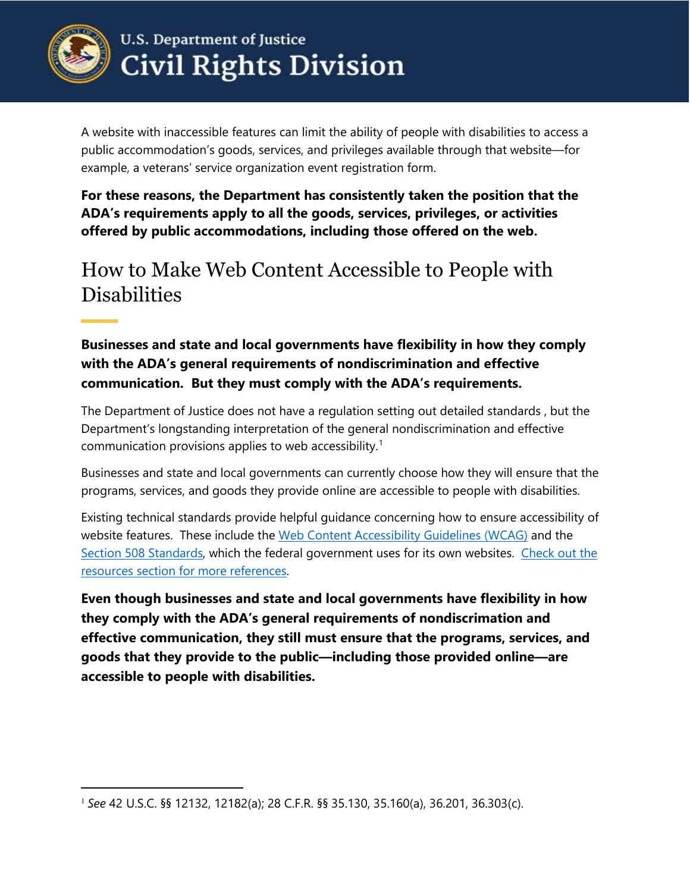

 $\overline{a}$ 

A website with inaccessible features can limit the ability of people with disabilities to access a public accommodation's goods, services, and privileges available through that website—for example, a veterans' service organization event registration form.

**For these reasons, the Department has consistently taken the position that the ADA's requirements apply to all the goods, services, privileges, or activities offered by public accommodations, including those offered on the web.**

## How to Make Web Content Accessible to People with **Disabilities**

**Businesses and state and local governments have flexibility in how they comply with the ADA's general requirements of nondiscrimination and effective communication. But they must comply with the ADA's requirements.** 

The Department of Justice does not have a regulation setting out detailed standards , but the Department's longstanding interpretation of the general nondiscrimination and effective communication provisions applies to web accessibility.<sup>[1](#page-3-0)</sup>

Businesses and state and local governments can currently choose how they will ensure that the programs, services, and goods they provide online are accessible to people with disabilities.

Existing technical standards provide helpful guidance concerning how to ensure accessibility of website features. These include the [Web Content Accessibility Guidelines \(WCAG\)](https://www.w3.org/WAI/standards-guidelines/wcag/) and the [Section 508 Standards](https://www.access-board.gov/ict/), which the federal government uses for its own websites. [Check out the](#page-6-0)  [resources section for more references.](#page-6-0)

**Even though businesses and state and local governments have flexibility in how they comply with the ADA's general requirements of nondiscrimation and effective communication, they still must ensure that the programs, services, and goods that they provide to the public—including those provided online—are accessible to people with disabilities.** 

<span id="page-3-0"></span><sup>1</sup> *See* 42 U.S.C. §§ 12132, 12182(a); 28 C.F.R. §§ 35.130, 35.160(a), 36.201, 36.303(c).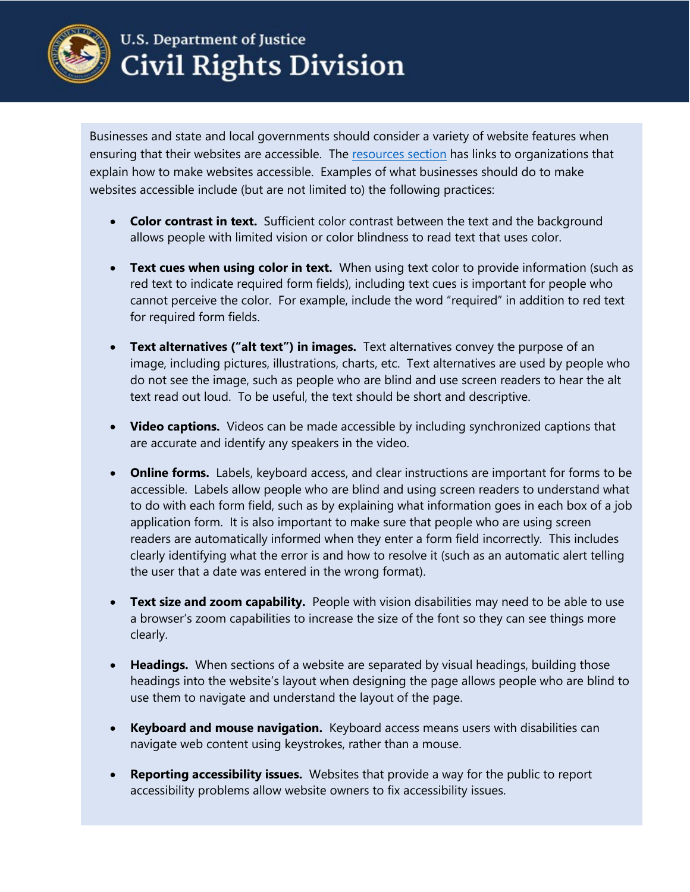

# **U.S. Department of Justice Civil Rights Division**

Businesses and state and local governments should consider a variety of website features when ensuring that their websites are accessible. The [resources section](#page-6-0) has links to organizations that explain how to make websites accessible. Examples of what businesses should do to make websites accessible include (but are not limited to) the following practices:

- **Color contrast in text.** Sufficient color contrast between the text and the background allows people with limited vision or color blindness to read text that uses color.
- **Text cues when using color in text.** When using text color to provide information (such as red text to indicate required form fields), including text cues is important for people who cannot perceive the color. For example, include the word "required" in addition to red text for required form fields.
- **Text alternatives ("alt text") in images.** Text alternatives convey the purpose of an image, including pictures, illustrations, charts, etc. Text alternatives are used by people who do not see the image, such as people who are blind and use screen readers to hear the alt text read out loud. To be useful, the text should be short and descriptive.
- **Video captions.** Videos can be made accessible by including synchronized captions that are accurate and identify any speakers in the video.
- **Online forms.** Labels, keyboard access, and clear instructions are important for forms to be accessible. Labels allow people who are blind and using screen readers to understand what to do with each form field, such as by explaining what information goes in each box of a job application form. It is also important to make sure that people who are using screen readers are automatically informed when they enter a form field incorrectly. This includes clearly identifying what the error is and how to resolve it (such as an automatic alert telling the user that a date was entered in the wrong format).
- **Text size and zoom capability.** People with vision disabilities may need to be able to use a browser's zoom capabilities to increase the size of the font so they can see things more clearly.
- **Headings.** When sections of a website are separated by visual headings, building those headings into the website's layout when designing the page allows people who are blind to use them to navigate and understand the layout of the page.
- **Keyboard and mouse navigation.** Keyboard access means users with disabilities can navigate web content using keystrokes, rather than a mouse.
- **Reporting accessibility issues.** Websites that provide a way for the public to report accessibility problems allow website owners to fix accessibility issues.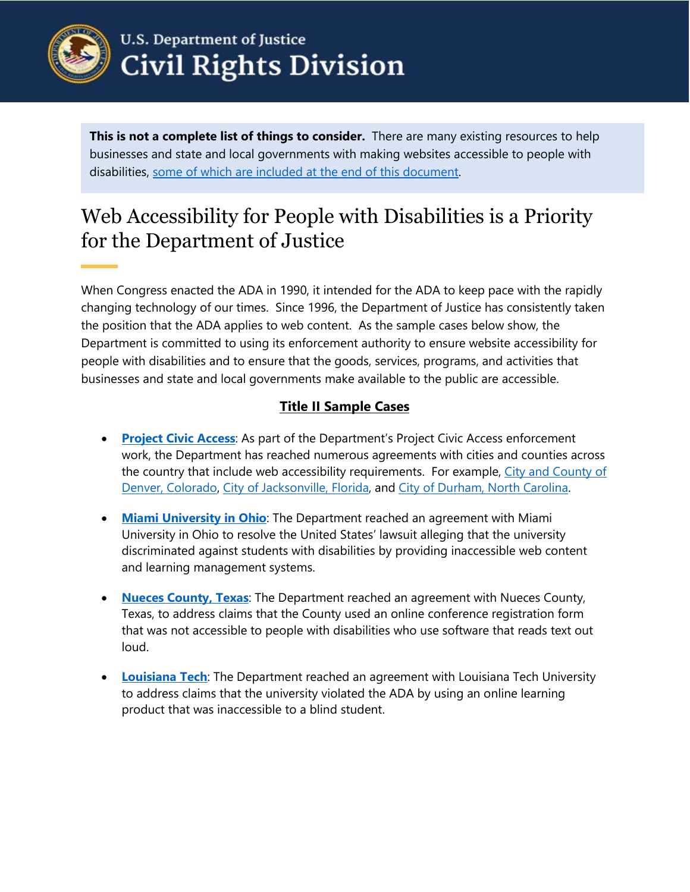

# **U.S. Department of Justice Civil Rights Division**

**This is not a complete list of things to consider.** There are many existing resources to help businesses and state and local governments with making websites accessible to people with disabilities, [some of which are included at the end of this document.](#page-6-0)

# Web Accessibility for People with Disabilities is a Priority for the Department of Justice

When Congress enacted the ADA in 1990, it intended for the ADA to keep pace with the rapidly changing technology of our times. Since 1996, the Department of Justice has consistently taken the position that the ADA applies to web content. As the sample cases below show, the Department is committed to using its enforcement authority to ensure website accessibility for people with disabilities and to ensure that the goods, services, programs, and activities that businesses and state and local governments make available to the public are accessible.

### **Title II Sample Cases**

- **[Project Civic Access](https://www.ada.gov/civicac.htm)**: As part of the Department's Project Civic Access enforcement work, the Department has reached numerous agreements with cities and counties across the country that include web accessibility requirements. For example, City and County of [Denver, Colorado,](https://www.ada.gov/denver_pca/denver_sa.html) [City of Jacksonville, Florida,](https://www.ada.gov/jacksonville_pca/jacksonville_pca_sa.htm) and [City of Durham, North Carolina.](https://www.ada.gov/DurhamNCpca.htm)
- **[Miami University in Ohio](https://www.ada.gov/miami_university_cd.html)**: The Department reached an agreement with Miami University in Ohio to resolve the United States' lawsuit alleging that the university discriminated against students with disabilities by providing inaccessible web content and learning management systems.
- **[Nueces County, Texas](https://www.ada.gov/nueces_co_tx_pca/nueces_co_tx_sa.html)**: The Department reached an agreement with Nueces County, Texas, to address claims that the County used an online conference registration form that was not accessible to people with disabilities who use software that reads text out loud.
- **[Louisiana Tech](https://www.ada.gov/louisiana-tech.htm)**: The Department reached an agreement with Louisiana Tech University to address claims that the university violated the ADA by using an online learning product that was inaccessible to a blind student.